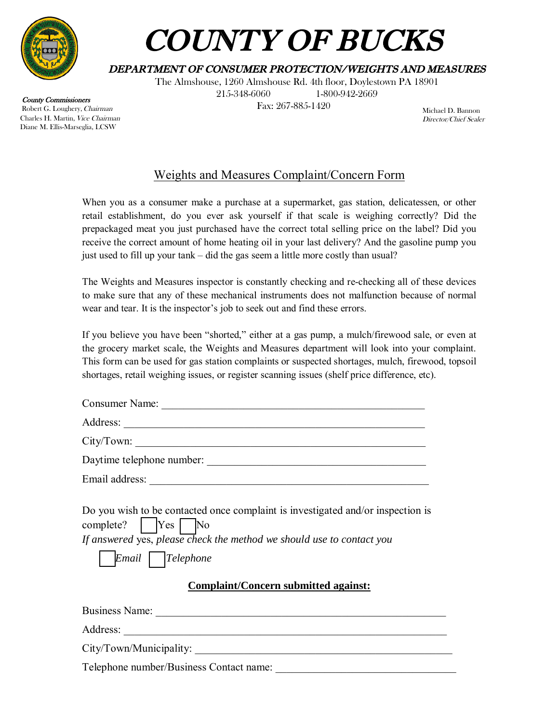

County Commissioners Robert G. Loughery, Chairman Charles H. Martin, Vice Chairman Diane M. Ellis-Marseglia, LCSW

# COUNTY OF BUCKS

## DEPARTMENT OF CONSUMER PROTECTION/WEIGHTS AND MEASURES

The Almshouse, 1260 Almshouse Rd. 4th floor, Doylestown PA 18901 215-348-6060 1-800-942-2669

Fax: 267-885-1420

Michael D. Bannon Director/Chief Sealer

## Weights and Measures Complaint/Concern Form

When you as a consumer make a purchase at a supermarket, gas station, delicatessen, or other retail establishment, do you ever ask yourself if that scale is weighing correctly? Did the prepackaged meat you just purchased have the correct total selling price on the label? Did you receive the correct amount of home heating oil in your last delivery? And the gasoline pump you just used to fill up your tank – did the gas seem a little more costly than usual?

The Weights and Measures inspector is constantly checking and re-checking all of these devices to make sure that any of these mechanical instruments does not malfunction because of normal wear and tear. It is the inspector's job to seek out and find these errors.

If you believe you have been "shorted," either at a gas pump, a mulch/firewood sale, or even at the grocery market scale, the Weights and Measures department will look into your complaint. This form can be used for gas station complaints or suspected shortages, mulch, firewood, topsoil shortages, retail weighing issues, or register scanning issues (shelf price difference, etc).

| Consumer Name: |                           |
|----------------|---------------------------|
|                |                           |
| City/ Town:    |                           |
|                | Daytime telephone number: |
| Email address: |                           |
|                |                           |

|                                                                       |  |  | Do you wish to be contacted once complaint is investigated and/or inspection is |  |
|-----------------------------------------------------------------------|--|--|---------------------------------------------------------------------------------|--|
| $complete?$ $Yes$ No                                                  |  |  |                                                                                 |  |
| If answered yes, please check the method we should use to contact you |  |  |                                                                                 |  |

*Email Telephone* 

### **Complaint/Concern submitted against:**

Business Name:

Address:

City/Town/Municipality:

Telephone number/Business Contact name: